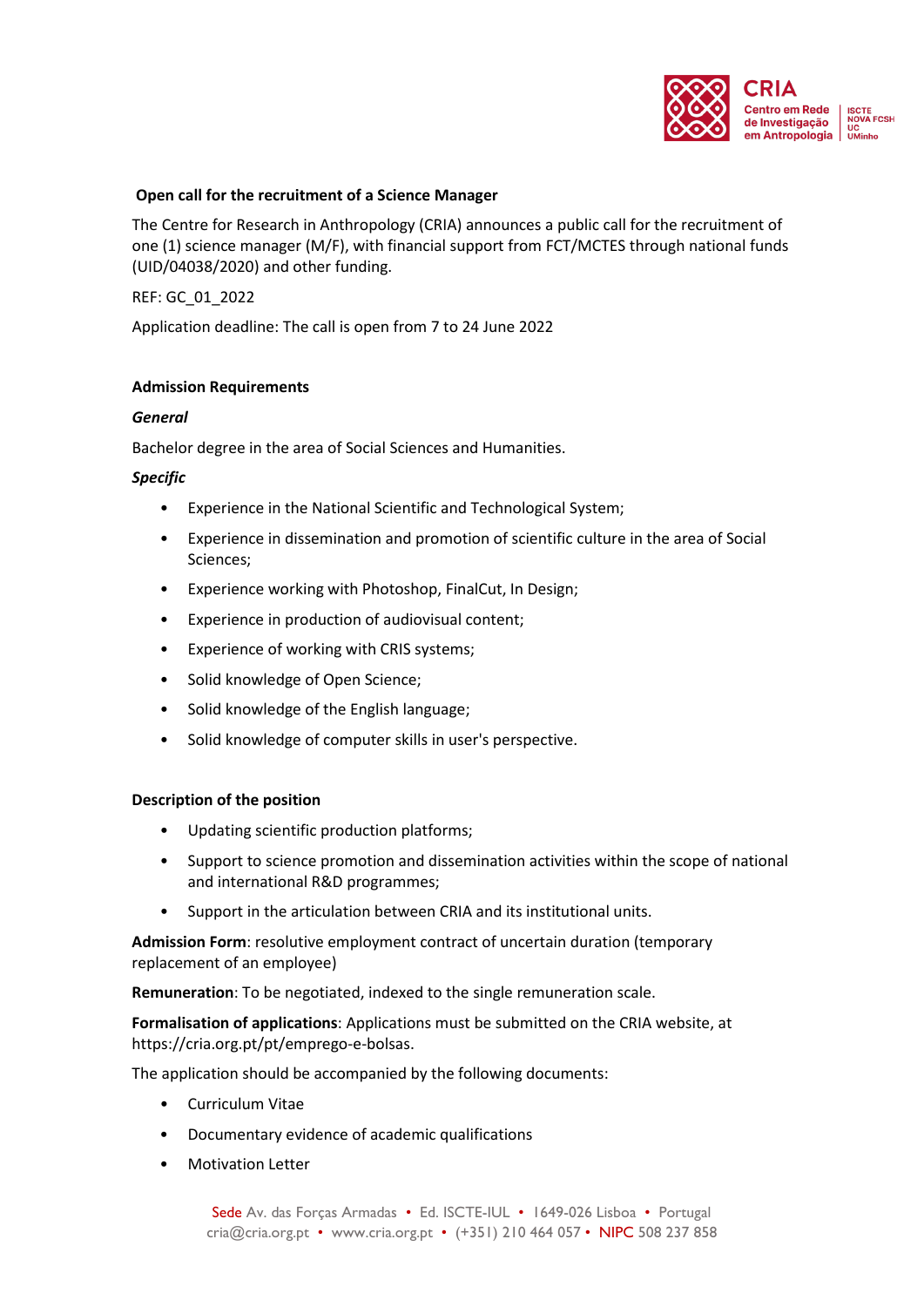

### **Open call for the recruitment of a Science Manager**

The Centre for Research in Anthropology (CRIA) announces a public call for the recruitment of one (1) science manager (M/F), with financial support from FCT/MCTES through national funds (UID/04038/2020) and other funding.

REF: GC\_01\_2022

Application deadline: The call is open from 7 to 24 June 2022

# **Admission Requirements**

### *General*

Bachelor degree in the area of Social Sciences and Humanities.

### *Specific*

- Experience in the National Scientific and Technological System;
- Experience in dissemination and promotion of scientific culture in the area of Social Sciences;
- Experience working with Photoshop, FinalCut, In Design;
- Experience in production of audiovisual content;
- Experience of working with CRIS systems;
- Solid knowledge of Open Science;
- Solid knowledge of the English language;
- Solid knowledge of computer skills in user's perspective.

# **Description of the position**

- Updating scientific production platforms;
- Support to science promotion and dissemination activities within the scope of national and international R&D programmes;
- Support in the articulation between CRIA and its institutional units.

**Admission Form**: resolutive employment contract of uncertain duration (temporary replacement of an employee)

**Remuneration**: To be negotiated, indexed to the single remuneration scale.

**Formalisation of applications**: Applications must be submitted on the CRIA website, at https://cria.org.pt/pt/emprego-e-bolsas.

The application should be accompanied by the following documents:

- Curriculum Vitae
- Documentary evidence of academic qualifications
- Motivation Letter